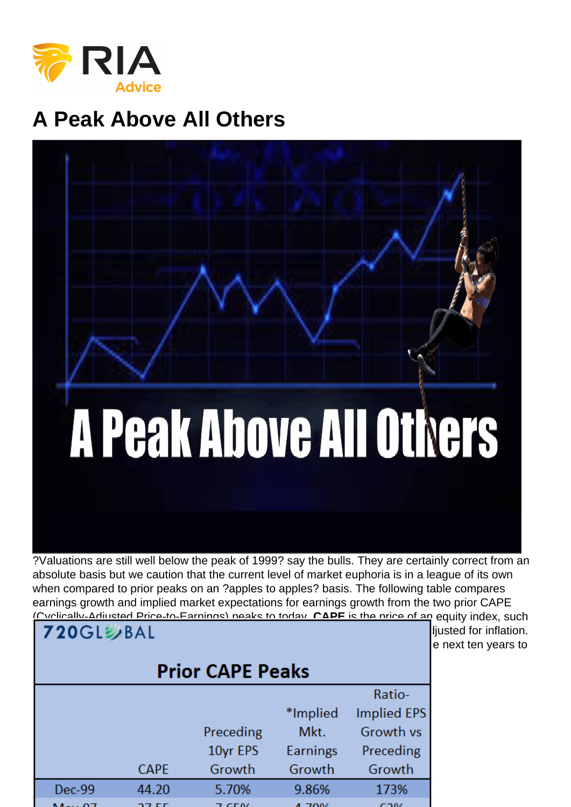## A Peak Above All Others

?Valuations are still well below the peak of 1999? say the bulls. They are certainly correct from an absolute basis but we caution that the current level of market euphoria is in a league of its own when compared to prior peaks on an ?apples to apples? basis. The following table compares earnings growth and implied market expectations for earnings growth from the two prior CAPE (Cyclically-Adjusted Price-to-Earnings) peaks to today. CAPE is the price of an equity index, such [as the S&P 500 in this case, divided by the average of ten years of earnings ad](https://realinvestmentadvice.com/wp-content/uploads/2017/08/1-table.png)justed for inflation. Implied market earnings growth is the rate of earnings growth required for the next ten years to return CAPE to its historical average assuming no price changes.